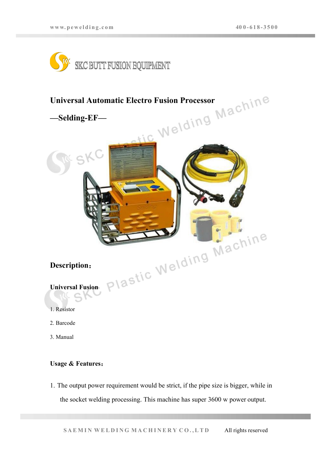



## **Usage & Features**:

1. The output power requirement would be strict, if the pipe size is bigger, while in the socket welding processing.This machine has super 3600 w power output.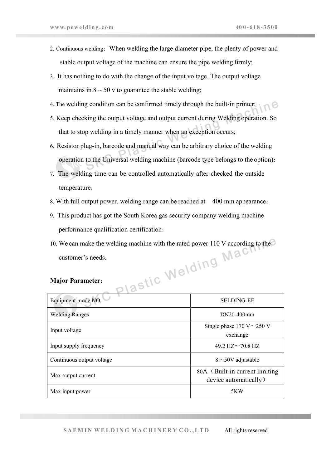- 2. Continuous welding: When welding the large diameter pipe, the plenty of power and stable output voltage of the machine can ensure the pipe welding firmly;
- 3. It has nothing to do with the change of the input voltage. The output voltage maintains in  $8 \sim 50$  v to guarantee the stable welding;
- 4. The welding condition can be confirmed timely through the built-in printer;
- 5. Keep checking the output voltage and output current during Welding operation. So that to stop welding in a timely manner when an exception occurs;
- 6. Resistor plug-in, barcode and manual way can be arbitrary choice of the welding operation to the Universal welding machine (barcode type belongs to the option);
- 7. The welding time can be controlled automatically after checked the outside temperature;
- 8. With full output power, welding range can be reached at 400 mm appearance;
- 9. This product has got the South Korea gas security company welding machine performance qualification certification;
- 10. We can make the welding machine with the rated power 110 V according to the customer's needs.

## **Major Parameter**:

| Equipment mode NO.        | <b>SELDING-EF</b>                                        |
|---------------------------|----------------------------------------------------------|
| <b>Welding Ranges</b>     | DN20-400mm                                               |
| Input voltage             | Single phase 170 V $\sim$ 250 V<br>exchange              |
| Input supply frequency    | 49.2 HZ $\sim$ 70.8 HZ                                   |
| Continuous output voltage | $8 \sim 50V$ adjustable                                  |
| Max output current        | 80A (Built-in current limiting)<br>device automatically) |
| Max input power           | 5KW                                                      |
|                           |                                                          |